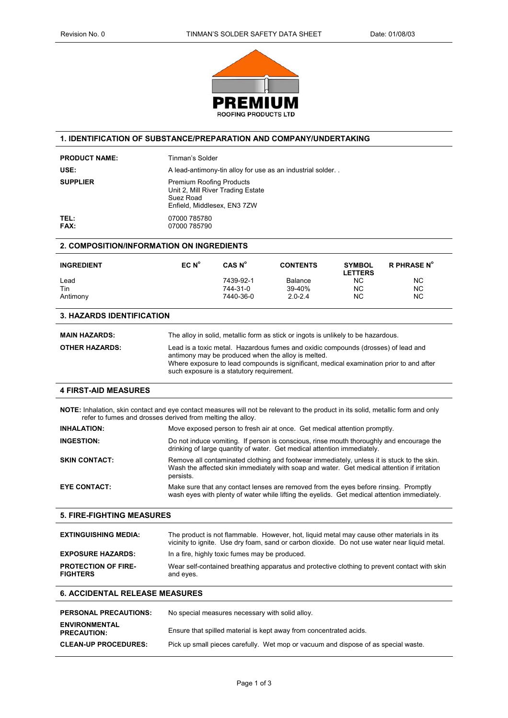

### **1. IDENTIFICATION OF SUBSTANCE/PREPARATION AND COMPANY/UNDERTAKING**

| <b>PRODUCT NAME:</b>                                                                                                                                                                           | Tinman's Solder                                                                                                                                                                                                                                                                 |                                                 |                                                                                   |                                 |                                                                                              |
|------------------------------------------------------------------------------------------------------------------------------------------------------------------------------------------------|---------------------------------------------------------------------------------------------------------------------------------------------------------------------------------------------------------------------------------------------------------------------------------|-------------------------------------------------|-----------------------------------------------------------------------------------|---------------------------------|----------------------------------------------------------------------------------------------|
| USE:                                                                                                                                                                                           | A lead-antimony-tin alloy for use as an industrial solder                                                                                                                                                                                                                       |                                                 |                                                                                   |                                 |                                                                                              |
| <b>SUPPLIER</b>                                                                                                                                                                                | <b>Premium Roofing Products</b><br>Unit 2, Mill River Trading Estate<br>Suez Road<br>Enfield, Middlesex, EN3 7ZW                                                                                                                                                                |                                                 |                                                                                   |                                 |                                                                                              |
| TEL:<br><b>FAX:</b>                                                                                                                                                                            | 07000 785780<br>07000 785790                                                                                                                                                                                                                                                    |                                                 |                                                                                   |                                 |                                                                                              |
| 2. COMPOSITION/INFORMATION ON INGREDIENTS                                                                                                                                                      |                                                                                                                                                                                                                                                                                 |                                                 |                                                                                   |                                 |                                                                                              |
| <b>INGREDIENT</b>                                                                                                                                                                              | EC N <sup>o</sup>                                                                                                                                                                                                                                                               | CAS N <sup>o</sup>                              | <b>CONTENTS</b>                                                                   | <b>SYMBOL</b><br><b>LETTERS</b> | <b>R PHRASE N°</b>                                                                           |
| Lead<br>Tin<br>Antimony                                                                                                                                                                        |                                                                                                                                                                                                                                                                                 | 7439-92-1<br>744-31-0<br>7440-36-0              | <b>Balance</b><br>39-40%<br>$2.0 - 2.4$                                           | NC.<br><b>NC</b><br>NC          | <b>NC</b><br>NC<br>ΝC                                                                        |
| <b>3. HAZARDS IDENTIFICATION</b>                                                                                                                                                               |                                                                                                                                                                                                                                                                                 |                                                 |                                                                                   |                                 |                                                                                              |
| <b>MAIN HAZARDS:</b>                                                                                                                                                                           |                                                                                                                                                                                                                                                                                 |                                                 | The alloy in solid, metallic form as stick or ingots is unlikely to be hazardous. |                                 |                                                                                              |
| <b>OTHER HAZARDS:</b>                                                                                                                                                                          | Lead is a toxic metal. Hazardous fumes and oxidic compounds (drosses) of lead and<br>antimony may be produced when the alloy is melted.<br>Where exposure to lead compounds is significant, medical examination prior to and after<br>such exposure is a statutory requirement. |                                                 |                                                                                   |                                 |                                                                                              |
| <b>4 FIRST-AID MEASURES</b>                                                                                                                                                                    |                                                                                                                                                                                                                                                                                 |                                                 |                                                                                   |                                 |                                                                                              |
| NOTE: Inhalation, skin contact and eye contact measures will not be relevant to the product in its solid, metallic form and only<br>refer to fumes and drosses derived from melting the alloy. |                                                                                                                                                                                                                                                                                 |                                                 |                                                                                   |                                 |                                                                                              |
| <b>INHALATION:</b>                                                                                                                                                                             |                                                                                                                                                                                                                                                                                 |                                                 | Move exposed person to fresh air at once. Get medical attention promptly.         |                                 |                                                                                              |
| <b>INGESTION:</b>                                                                                                                                                                              | Do not induce vomiting. If person is conscious, rinse mouth thoroughly and encourage the<br>drinking of large quantity of water. Get medical attention immediately.                                                                                                             |                                                 |                                                                                   |                                 |                                                                                              |
| <b>SKIN CONTACT:</b>                                                                                                                                                                           | Remove all contaminated clothing and footwear immediately, unless it is stuck to the skin.<br>Wash the affected skin immediately with soap and water. Get medical attention if irritation<br>persists.                                                                          |                                                 |                                                                                   |                                 |                                                                                              |
| <b>EYE CONTACT:</b>                                                                                                                                                                            | Make sure that any contact lenses are removed from the eyes before rinsing. Promptly<br>wash eyes with plenty of water while lifting the eyelids. Get medical attention immediately.                                                                                            |                                                 |                                                                                   |                                 |                                                                                              |
| <b>5. FIRE-FIGHTING MEASURES</b>                                                                                                                                                               |                                                                                                                                                                                                                                                                                 |                                                 |                                                                                   |                                 |                                                                                              |
| <b>EXTINGUISHING MEDIA:</b>                                                                                                                                                                    | The product is not flammable. However, hot, liquid metal may cause other materials in its<br>vicinity to ignite. Use dry foam, sand or carbon dioxide. Do not use water near liquid metal.                                                                                      |                                                 |                                                                                   |                                 |                                                                                              |
| <b>EXPOSURE HAZARDS:</b>                                                                                                                                                                       | In a fire, highly toxic fumes may be produced.                                                                                                                                                                                                                                  |                                                 |                                                                                   |                                 |                                                                                              |
| <b>PROTECTION OF FIRE-</b><br><b>FIGHTERS</b>                                                                                                                                                  | and eyes.                                                                                                                                                                                                                                                                       |                                                 |                                                                                   |                                 | Wear self-contained breathing apparatus and protective clothing to prevent contact with skin |
| <b>6. ACCIDENTAL RELEASE MEASURES</b>                                                                                                                                                          |                                                                                                                                                                                                                                                                                 |                                                 |                                                                                   |                                 |                                                                                              |
| <b>PERSONAL PRECAUTIONS:</b>                                                                                                                                                                   |                                                                                                                                                                                                                                                                                 | No special measures necessary with solid alloy. |                                                                                   |                                 |                                                                                              |
| <b>ENVIRONMENTAL</b><br><b>PRECAUTION:</b>                                                                                                                                                     | Ensure that spilled material is kept away from concentrated acids.                                                                                                                                                                                                              |                                                 |                                                                                   |                                 |                                                                                              |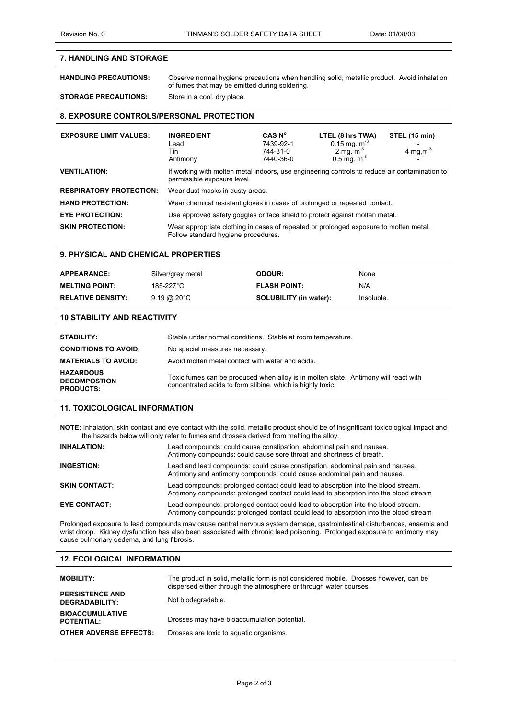# **7. HANDLING AND STORAGE**

**HANDLING PRECAUTIONS:** Observe normal hygiene precautions when handling solid, metallic product. Avoid inhalation of fumes that may be emitted during soldering. **STORAGE PRECAUTIONS:** Store in a cool, dry place.

# **8. EXPOSURE CONTROLS/PERSONAL PROTECTION**

| <b>EXPOSURE LIMIT VALUES:</b>  | <b>INGREDIENT</b><br>Lead<br>Tin<br>Antimony                                                                                 | CAS N <sup>o</sup><br>7439-92-1<br>744-31-0<br>7440-36-0 | LTEL (8 hrs TWA)<br>0.15 mg. $m^3$<br>2 mg. $m^{-3}$<br>$0.5$ mg. m <sup>3</sup> | STEL (15 min)<br>4 mg, $m-3$ |
|--------------------------------|------------------------------------------------------------------------------------------------------------------------------|----------------------------------------------------------|----------------------------------------------------------------------------------|------------------------------|
| <b>VENTILATION:</b>            | If working with molten metal indoors, use engineering controls to reduce air contamination to<br>permissible exposure level. |                                                          |                                                                                  |                              |
| <b>RESPIRATORY PROTECTION:</b> | Wear dust masks in dusty areas.                                                                                              |                                                          |                                                                                  |                              |
| <b>HAND PROTECTION:</b>        | Wear chemical resistant gloves in cases of prolonged or repeated contact.                                                    |                                                          |                                                                                  |                              |
| <b>EYE PROTECTION:</b>         | Use approved safety goggles or face shield to protect against molten metal.                                                  |                                                          |                                                                                  |                              |
| <b>SKIN PROTECTION:</b>        | Wear appropriate clothing in cases of repeated or prolonged exposure to molten metal.<br>Follow standard hygiene procedures. |                                                          |                                                                                  |                              |

#### **9. PHYSICAL AND CHEMICAL PROPERTIES**

| <b>APPEARANCE:</b>       | Silver/grey metal         | <b>ODOUR:</b>                 | None       |
|--------------------------|---------------------------|-------------------------------|------------|
| <b>MELTING POINT:</b>    | 185-227°C                 | <b>FLASH POINT:</b>           | N/A        |
| <b>RELATIVE DENSITY:</b> | $9.19 \ @ \ 20^{\circ}$ C | <b>SOLUBILITY (in water):</b> | Insoluble. |

#### **10 STABILITY AND REACTIVITY**

| <b>STABILITY:</b>                                           | Stable under normal conditions. Stable at room temperature.                                                                                       |
|-------------------------------------------------------------|---------------------------------------------------------------------------------------------------------------------------------------------------|
| <b>CONDITIONS TO AVOID:</b>                                 | No special measures necessary.                                                                                                                    |
| <b>MATERIALS TO AVOID:</b>                                  | Avoid molten metal contact with water and acids.                                                                                                  |
| <b>HAZARDOUS</b><br><b>DECOMPOSTION</b><br><b>PRODUCTS:</b> | Toxic fumes can be produced when alloy is in molten state. Antimony will react with<br>concentrated acids to form stibine, which is highly toxic. |

### **11. TOXICOLOGICAL INFORMATION**

**NOTE:** Inhalation, skin contact and eye contact with the solid, metallic product should be of insignificant toxicological impact and the hazards below will only refer to fumes and drosses derived from melting the alloy.

| <b>INHALATION:</b>   | Lead compounds: could cause constipation, abdominal pain and nausea.<br>Antimony compounds: could cause sore throat and shortness of breath.                              |
|----------------------|---------------------------------------------------------------------------------------------------------------------------------------------------------------------------|
| <b>INGESTION:</b>    | Lead and lead compounds: could cause constipation, abdominal pain and nausea.<br>Antimony and antimony compounds: could cause abdominal pain and nausea.                  |
| <b>SKIN CONTACT:</b> | Lead compounds: prolonged contact could lead to absorption into the blood stream.<br>Antimony compounds: prolonged contact could lead to absorption into the blood stream |
| <b>EYE CONTACT:</b>  | Lead compounds: prolonged contact could lead to absorption into the blood stream.<br>Antimony compounds: prolonged contact could lead to absorption into the blood stream |

Prolonged exposure to lead compounds may cause central nervous system damage, gastrointestinal disturbances, anaemia and wrist droop. Kidney dysfunction has also been associated with chronic lead poisoning. Prolonged exposure to antimony may cause pulmonary oedema, and lung fibrosis.

### **12. ECOLOGICAL INFORMATION**

| <b>MOBILITY:</b>                                | The product in solid, metallic form is not considered mobile. Drosses however, can be<br>dispersed either through the atmosphere or through water courses. |
|-------------------------------------------------|------------------------------------------------------------------------------------------------------------------------------------------------------------|
| <b>PERSISTENCE AND</b><br><b>DEGRADABILITY:</b> | Not biodegradable.                                                                                                                                         |
| <b>BIOACCUMULATIVE</b><br><b>POTENTIAL:</b>     | Drosses may have bioaccumulation potential.                                                                                                                |
| <b>OTHER ADVERSE EFFECTS:</b>                   | Drosses are toxic to aquatic organisms.                                                                                                                    |